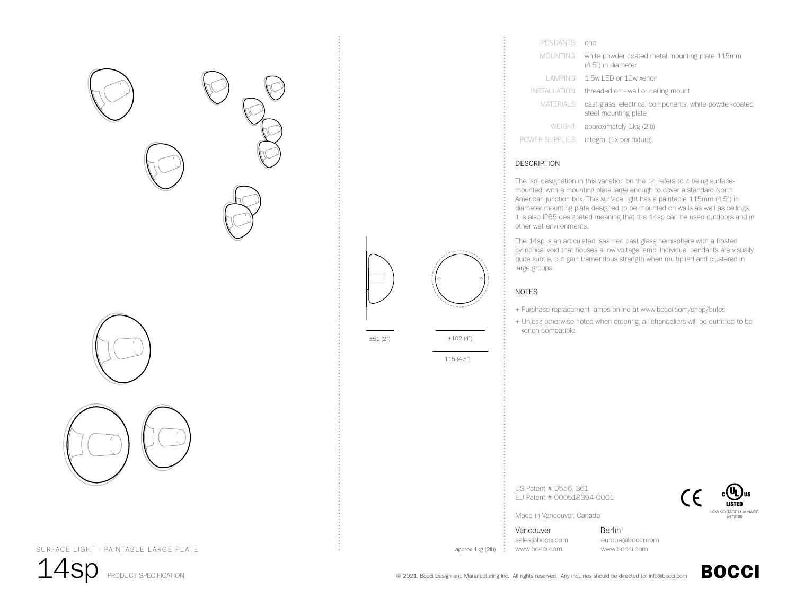





### SURFACE LIGHT - PAINTABLE LARGE PLATE

14sp PRODUCT SPECIFICATION

| ł<br>I<br>ï<br>×,<br>١ | $\omega$ $^{\omega}$<br>$\sim$ $ ^{-1}$<br>$\overline{\phantom{a}}$ |
|------------------------|---------------------------------------------------------------------|
|------------------------|---------------------------------------------------------------------|

±51 (2")

±102 (4")

115 (4.5")

PENDANTS: one MOUNTING: white powder coated metal mounting plate 115mm (4.5") in diameter LAMPING: 1.5w LED or 10w xenon INSTALLATION: threaded on - wall or ceiling mount MATERIALS: cast glass, electrical components, white powder-coated steel mounting plate WEIGHT: approximately 1kg (2lb)

POWER SUPPLIES: integral (1x per fixture).

#### DESCRIPTION

The 'sp' designation in this variation on the 14 refers to it being surfacemounted, with a mounting plate large enough to cover a standard North American junction box. This surface light has a paintable 115mm (4.5") in diameter mounting plate designed to be mounted on walls as well as ceilings. It is also IP65 designated meaning that the 14sp can be used outdoors and in other wet environments.

The 14sp is an articulated, seamed cast glass hemisphere with a frosted cylindrical void that houses a low voltage lamp. Individual pendants are visually quite subtle, but gain tremendous strength when multiplied and clustered in large groups.

#### NOTES

- + Purchase replacement lamps online at www.bocci.com/shop/bulbs
- + Unless otherwise noted when ordering, all chandeliers will be outfitted to be xenon compatible.

US Patent # D556, 361 EU Patent # 000518394-0001



Made in Vancouver, Canada

Vancouver sales@bocci.com www.bocci.com

approx 1kg (2lb)

Berlin europe@bocci.com www.bocci.com



© 2021, Bocci Design and Manufacturing Inc. All rights reserved. Any inquiries should be directed to: info@bocci.com